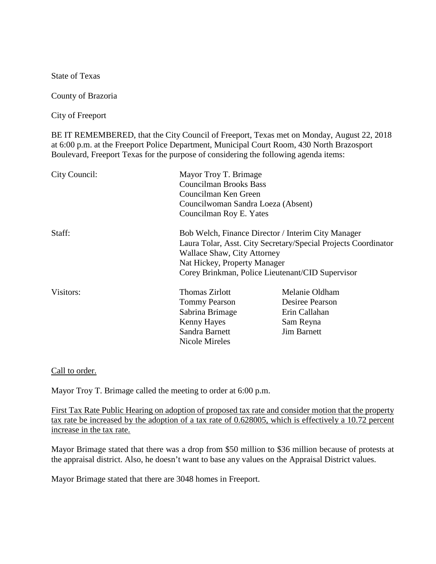State of Texas

County of Brazoria

City of Freeport

BE IT REMEMBERED, that the City Council of Freeport, Texas met on Monday, August 22, 2018 at 6:00 p.m. at the Freeport Police Department, Municipal Court Room, 430 North Brazosport Boulevard, Freeport Texas for the purpose of considering the following agenda items:

| City Council:                                    | Mayor Troy T. Brimage<br><b>Councilman Brooks Bass</b><br>Councilman Ken Green<br>Councilwoman Sandra Loeza (Absent)<br>Councilman Roy E. Yates |                    |        |                                                                |  |
|--------------------------------------------------|-------------------------------------------------------------------------------------------------------------------------------------------------|--------------------|--------|----------------------------------------------------------------|--|
|                                                  |                                                                                                                                                 |                    |        |                                                                |  |
|                                                  |                                                                                                                                                 |                    | Staff: | Bob Welch, Finance Director / Interim City Manager             |  |
|                                                  |                                                                                                                                                 |                    |        | Laura Tolar, Asst. City Secretary/Special Projects Coordinator |  |
|                                                  |                                                                                                                                                 |                    |        | <b>Wallace Shaw, City Attorney</b>                             |  |
| Nat Hickey, Property Manager                     |                                                                                                                                                 |                    |        |                                                                |  |
| Corey Brinkman, Police Lieutenant/CID Supervisor |                                                                                                                                                 |                    |        |                                                                |  |
| Visitors:                                        | <b>Thomas Zirlott</b>                                                                                                                           | Melanie Oldham     |        |                                                                |  |
|                                                  | <b>Tommy Pearson</b>                                                                                                                            | Desiree Pearson    |        |                                                                |  |
|                                                  | Sabrina Brimage                                                                                                                                 | Erin Callahan      |        |                                                                |  |
|                                                  | Kenny Hayes                                                                                                                                     | Sam Reyna          |        |                                                                |  |
|                                                  | Sandra Barnett                                                                                                                                  | <b>Jim Barnett</b> |        |                                                                |  |
|                                                  | Nicole Mireles                                                                                                                                  |                    |        |                                                                |  |

Call to order.

Mayor Troy T. Brimage called the meeting to order at 6:00 p.m.

First Tax Rate Public Hearing on adoption of proposed tax rate and consider motion that the property tax rate be increased by the adoption of a tax rate of 0.628005, which is effectively a 10.72 percent increase in the tax rate.

Mayor Brimage stated that there was a drop from \$50 million to \$36 million because of protests at the appraisal district. Also, he doesn't want to base any values on the Appraisal District values.

Mayor Brimage stated that there are 3048 homes in Freeport.